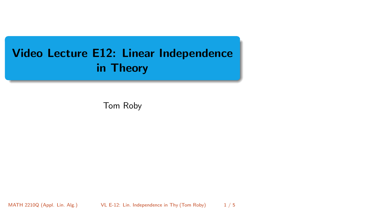# <span id="page-0-0"></span>Video Lecture E12: Linear Independence in Theory

Tom Roby

MATH 2210Q (Appl. Lin. Alg.) VL E-12: Lin. Independence in Thy (Tom Roby) 1/5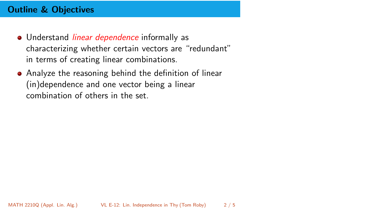## Outline & Objectives

- **.** Understand *linear dependence* informally as characterizing whether certain vectors are "redundant" in terms of creating linear combinations.
- Analyze the reasoning behind the definition of linear (in)dependence and one vector being a linear combination of others in the set.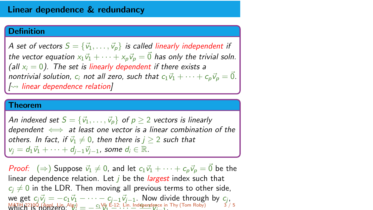#### Linear dependence & redundancy

#### Definition

A set of vectors  $S = \{\vec{v}_1, \ldots, \vec{v}_p\}$  is called linearly independent if the vector equation  $x_1\vec{v}_1 + \cdots + x_n\vec{v}_n = \vec{0}$  has only the trivial soln. (all  $x_i = 0$ ). The set is linearly dependent if there exists a nontrivial solution,  $c_i$  not all zero, such that  $c_1\vec{v}_1 + \cdots + c_n\vec{v}_n = \vec{0}$ .  $\sim$  linear dependence relation]

#### Theorem

An indexed set  $S = \{\vec{v}_1, \ldots, \vec{v}_p\}$  of  $p > 2$  vectors is linearly dependent  $\iff$  at least one vector is a linear combination of the others. In fact, if  $\vec{v}_1 \neq 0$ , then there is  $j \geq 2$  such that  $v_i = d_1\vec{v}_1 + \cdots + d_{i-1}\vec{v}_{i-1}$ , some  $d_i \in \mathbb{R}$ .

*Proof:*  $(\Rightarrow)$  Suppose  $\vec{v}_1 \neq 0$ , and let  $c_1\vec{v}_1 + \cdots + c_n\vec{v}_p = \vec{0}$  be the linear dependence relation. Let  *be the <i>largest* index such that  $c_i \neq 0$  in the LDR. Then moving all previous terms to other side, we get  $c_j\vec{v}_j = -c_1\vec{v}_1 - \cdots - c_{j-1}\vec{v}_{j-1}$ . Now divide through by  $c_j$ ,  $\frac{\text{MATH}}{\text{WHCH}}$   $\frac{22100}{15}$  (Appl. Lin.  $\frac{\text{Alg}}{\text{V}}$ )  $=$   $-\frac{c_1}{12}$ ,  $\frac{c_1}{12}$ , Lin. Independent  $\frac{\mathsf{MATH}}{\mathsf{MOTH}}$  (Appl. Lin. Alg.)  $\equiv -\frac{c_1\mathsf{V}\mathsf{L}}{\mathsf{V}_1} = -\frac{1}{2}\frac{\mathsf{V}\mathsf{L}}{\mathsf{L}}$  . Lin. Independence in Thy (Tom Roby)  $3/5$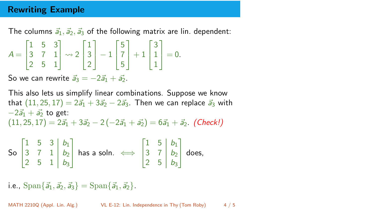### Rewriting Example

The columns  $\vec{a}_1, \vec{a}_2, \vec{a}_3$  of the following matrix are lin. dependent:

$$
A = \begin{bmatrix} 1 & 5 & 3 \\ 3 & 7 & 1 \\ 2 & 5 & 1 \end{bmatrix} \rightsquigarrow 2 \begin{bmatrix} 1 \\ 3 \\ 2 \end{bmatrix} - 1 \begin{bmatrix} 5 \\ 7 \\ 5 \end{bmatrix} + 1 \begin{bmatrix} 3 \\ 1 \\ 1 \end{bmatrix} = 0.
$$

So we can rewrite  $\vec{a}_3 = -2\vec{a}_1 + \vec{a}_2$ .

This also lets us simplify linear combinations. Suppose we know that  $(11, 25, 17) = 2\vec{a}_1 + 3\vec{a}_2 - 2\vec{a}_3$ . Then we can replace  $\vec{a}_3$  with  $-2\vec{a_1} + \vec{a_2}$  to get:  $(11, 25, 17) = 2\vec{a}_1 + 3\vec{a}_2 - 2(-2\vec{a}_1 + \vec{a}_2) = 6\vec{a}_1 + \vec{a}_2$ . (Check!)

So 
$$
\begin{bmatrix} 1 & 5 & 3 & b_1 \\ 3 & 7 & 1 & b_2 \\ 2 & 5 & 1 & b_3 \end{bmatrix}
$$
 has a soln.  $\iff \begin{bmatrix} 1 & 5 & b_1 \\ 3 & 7 & b_2 \\ 2 & 5 & b_3 \end{bmatrix}$  does,

i.e.,  $\text{Span}\{\vec{a}_1, \vec{a}_2, \vec{a}_3\} = \text{Span}\{\vec{a}_1, \vec{a}_2\}.$ 

MATH 2210Q (Appl. Lin. Alg.) [VL E-12: Lin. Independence in Thy \(](#page-0-0)Tom Roby) 4 / 5